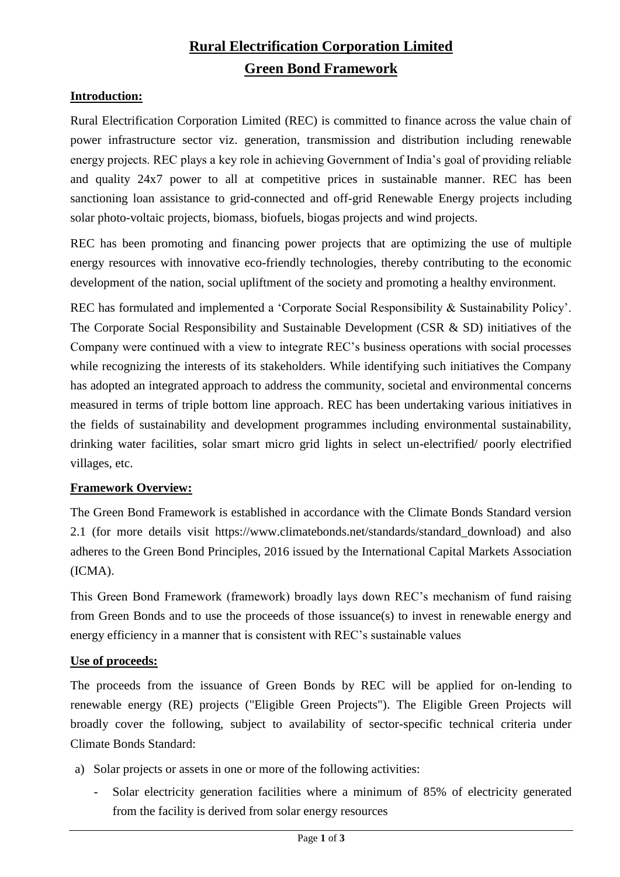# **Rural Electrification Corporation Limited Green Bond Framework**

## **Introduction:**

Rural Electrification Corporation Limited (REC) is committed to finance across the value chain of power infrastructure sector viz. generation, transmission and distribution including renewable energy projects. REC plays a key role in achieving Government of India's goal of providing reliable and quality 24x7 power to all at competitive prices in sustainable manner. REC has been sanctioning loan assistance to grid-connected and off-grid Renewable Energy projects including solar photo-voltaic projects, biomass, biofuels, biogas projects and wind projects.

REC has been promoting and financing power projects that are optimizing the use of multiple energy resources with innovative eco-friendly technologies, thereby contributing to the economic development of the nation, social upliftment of the society and promoting a healthy environment.

REC has formulated and implemented a 'Corporate Social Responsibility & Sustainability Policy'. The Corporate Social Responsibility and Sustainable Development (CSR & SD) initiatives of the Company were continued with a view to integrate REC's business operations with social processes while recognizing the interests of its stakeholders. While identifying such initiatives the Company has adopted an integrated approach to address the community, societal and environmental concerns measured in terms of triple bottom line approach. REC has been undertaking various initiatives in the fields of sustainability and development programmes including environmental sustainability, drinking water facilities, solar smart micro grid lights in select un-electrified/ poorly electrified villages, etc.

#### **Framework Overview:**

The Green Bond Framework is established in accordance with the Climate Bonds Standard version 2.1 (for more details visit https://www.climatebonds.net/standards/standard download) and also adheres to the Green Bond Principles, 2016 issued by the International Capital Markets Association (ICMA).

This Green Bond Framework (framework) broadly lays down REC's mechanism of fund raising from Green Bonds and to use the proceeds of those issuance(s) to invest in renewable energy and energy efficiency in a manner that is consistent with REC's sustainable values

#### **Use of proceeds:**

The proceeds from the issuance of Green Bonds by REC will be applied for on-lending to renewable energy (RE) projects ("Eligible Green Projects"). The Eligible Green Projects will broadly cover the following, subject to availability of sector-specific technical criteria under Climate Bonds Standard:

- a) Solar projects or assets in one or more of the following activities:
	- Solar electricity generation facilities where a minimum of 85% of electricity generated from the facility is derived from solar energy resources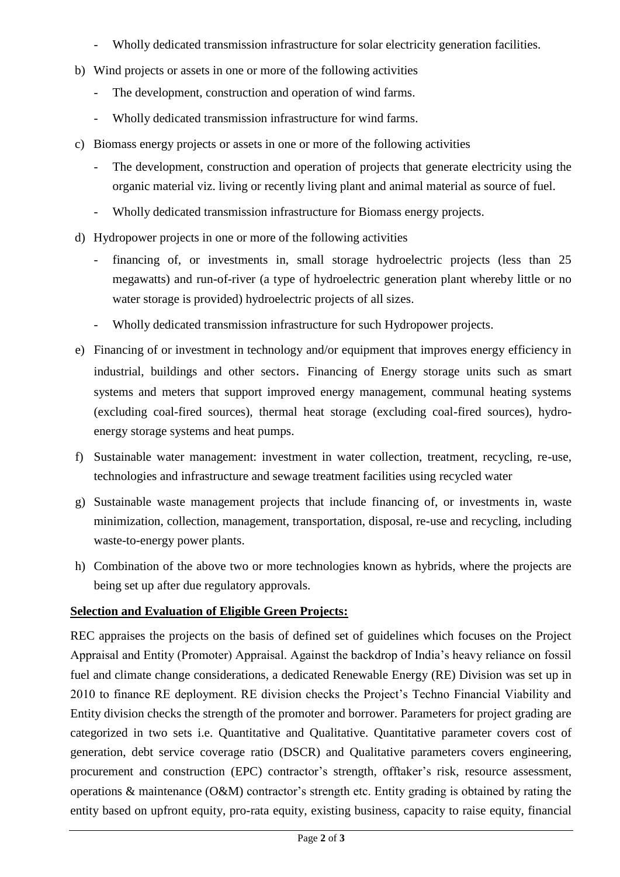- Wholly dedicated transmission infrastructure for solar electricity generation facilities.
- b) Wind projects or assets in one or more of the following activities
	- The development, construction and operation of wind farms.
	- Wholly dedicated transmission infrastructure for wind farms.
- c) Biomass energy projects or assets in one or more of the following activities
	- The development, construction and operation of projects that generate electricity using the organic material viz. living or recently living plant and animal material as source of fuel.
	- Wholly dedicated transmission infrastructure for Biomass energy projects.
- d) Hydropower projects in one or more of the following activities
	- financing of, or investments in, small storage hydroelectric projects (less than 25 megawatts) and run-of-river (a type of hydroelectric generation plant whereby little or no water storage is provided) hydroelectric projects of all sizes.
	- Wholly dedicated transmission infrastructure for such Hydropower projects.
- e) Financing of or investment in technology and/or equipment that improves energy efficiency in industrial, buildings and other sectors. Financing of Energy storage units such as smart systems and meters that support improved energy management, communal heating systems (excluding coal-fired sources), thermal heat storage (excluding coal-fired sources), hydroenergy storage systems and heat pumps.
- f) Sustainable water management: investment in water collection, treatment, recycling, re-use, technologies and infrastructure and sewage treatment facilities using recycled water
- g) Sustainable waste management projects that include financing of, or investments in, waste minimization, collection, management, transportation, disposal, re-use and recycling, including waste-to-energy power plants.
- h) Combination of the above two or more technologies known as hybrids, where the projects are being set up after due regulatory approvals.

#### **Selection and Evaluation of Eligible Green Projects:**

REC appraises the projects on the basis of defined set of guidelines which focuses on the Project Appraisal and Entity (Promoter) Appraisal. Against the backdrop of India's heavy reliance on fossil fuel and climate change considerations, a dedicated Renewable Energy (RE) Division was set up in 2010 to finance RE deployment. RE division checks the Project's Techno Financial Viability and Entity division checks the strength of the promoter and borrower. Parameters for project grading are categorized in two sets i.e. Quantitative and Qualitative. Quantitative parameter covers cost of generation, debt service coverage ratio (DSCR) and Qualitative parameters covers engineering, procurement and construction (EPC) contractor's strength, offtaker's risk, resource assessment, operations & maintenance (O&M) contractor's strength etc. Entity grading is obtained by rating the entity based on upfront equity, pro-rata equity, existing business, capacity to raise equity, financial